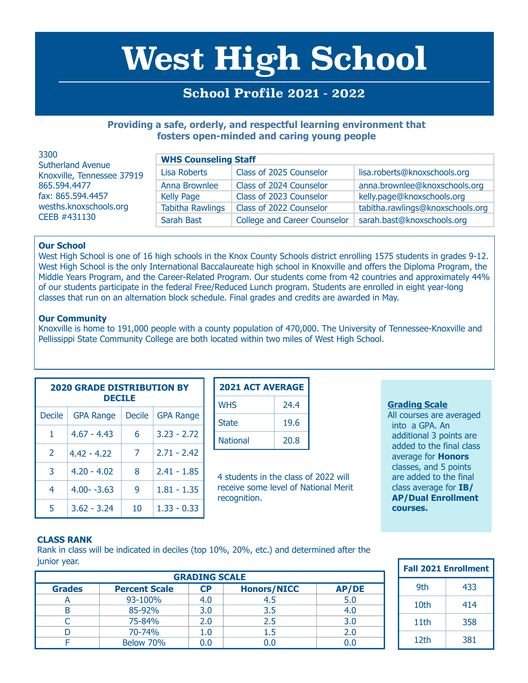# **West High School**

## **School Profile 2021 - 2022**

### **Providing a safe, orderly, and respectful learning environment that fosters open-minded and caring young people**

| 3300<br><b>Sutherland Avenue</b><br>Knoxville, Tennessee 37919<br>865,594,4477<br>fax: 865.594.4457<br>wesths.knoxschools.org<br>CEEB #431130 | <b>WHS Counseling Staff</b> |                                     |                                  |  |
|-----------------------------------------------------------------------------------------------------------------------------------------------|-----------------------------|-------------------------------------|----------------------------------|--|
|                                                                                                                                               | Lisa Roberts                | Class of 2025 Counselor             | lisa.roberts@knoxschools.org     |  |
|                                                                                                                                               | Anna Brownlee               | Class of 2024 Counselor             | anna.brownlee@knoxschools.org    |  |
|                                                                                                                                               | <b>Kelly Page</b>           | Class of 2023 Counselor             | kelly.page@knoxschools.org       |  |
|                                                                                                                                               | <b>Tabitha Rawlings</b>     | Class of 2022 Counselor             | tabitha.rawlings@knoxschools.org |  |
|                                                                                                                                               | Sarah Bast                  | <b>College and Career Counselor</b> | sarah.bast@knoxschools.org       |  |

#### **Our School**

West High School is one of 16 high schools in the Knox County Schools district enrolling 1575 students in grades 9-12. West High School is the only International Baccalaureate high school in Knoxville and offers the Diploma Program, the Middle Years Program, and the Career-Related Program. Our students come from 42 countries and approximately 44% of our students participate in the federal Free/Reduced Lunch program. Students are enrolled in eight year-long classes that run on an alternation block schedule. Final grades and credits are awarded in May.

#### **Our Community**

Knoxville is home to 191,000 people with a county population of 470,000. The University of Tennessee-Knoxville and Pellissippi State Community College are both located within two miles of West High School.

| <b>2020 GRADE DISTRIBUTION BY</b><br><b>DECILE</b> |                  |        |                  |  |
|----------------------------------------------------|------------------|--------|------------------|--|
| <b>Decile</b>                                      | <b>GPA Range</b> | Decile | <b>GPA Range</b> |  |
| 1                                                  | $4.67 - 4.43$    | 6      | $3.23 - 2.72$    |  |
| $\mathcal{P}$                                      | $4.42 - 4.22$    | 7      | $2.71 - 2.42$    |  |
| 3                                                  | $4.20 - 4.02$    | 8      | $2.41 - 1.85$    |  |
| 4                                                  | $4.00 - -3.63$   | 9      | $1.81 - 1.35$    |  |
| 5                                                  | $3.62 - 3.24$    | 10     | $1.33 - 0.33$    |  |

| <b>2021 ACT AVERAGE</b> |      |  |
|-------------------------|------|--|
| <b>WHS</b>              | 24.4 |  |
| <b>State</b>            | 19.6 |  |
| <b>National</b>         | 20.8 |  |

4 students in the class of 2022 will receive some level of National Merit recognition.

#### **Grading Scale**

All courses are averaged into a GPA. An additional 3 points are added to the final class average for **Honors** classes, and 5 points are added to the final class average for **IB/ AP/Dual Enrollment courses.**

#### **CLASS RANK**

Rank in class will be indicated in deciles (top 10%, 20%, etc.) and determined after the junior year.

| <b>GRADING SCALE</b> |                      |                        |                    |              |
|----------------------|----------------------|------------------------|--------------------|--------------|
| <b>Grades</b>        | <b>Percent Scale</b> | $\mathsf{C}\mathsf{P}$ | <b>Honors/NICC</b> | <b>AP/DE</b> |
|                      | 93-100%              | 4.0                    | 4.5                | 5.0          |
|                      | 85-92%               | 3.0                    | 3.5                | 4.0          |
|                      | 75-84%               | 2.0                    | 2.5                | 3.0          |
|                      | 70-74%               |                        | 1.5                | 2.0          |
|                      | Below 70%            |                        |                    |              |

| <b>Fall 2021 Enrollment</b> |     |  |
|-----------------------------|-----|--|
| 9th                         | 433 |  |
| 10th                        | 414 |  |
| 11th                        | 358 |  |
| 12th                        | 381 |  |